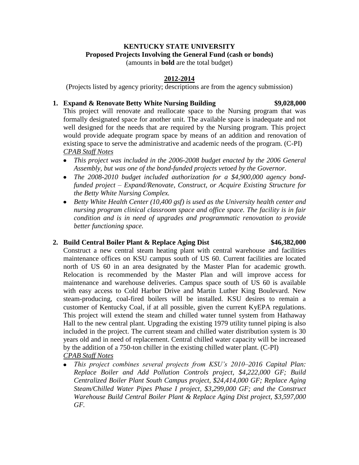### **KENTUCKY STATE UNIVERSITY Proposed Projects Involving the General Fund (cash or bonds)** (amounts in **bold** are the total budget)

# **2012-2014**

(Projects listed by agency priority; descriptions are from the agency submission)

### **1. Expand & Renovate Betty White Nursing Building \$9,028,000**

This project will renovate and reallocate space to the Nursing program that was formally designated space for another unit. The available space is inadequate and not well designed for the needs that are required by the Nursing program. This project would provide adequate program space by means of an addition and renovation of existing space to serve the administrative and academic needs of the program. (C-PI) *CPAB Staff Notes*

- *This project was included in the 2006-2008 budget enacted by the 2006 General Assembly, but was one of the bond-funded projects vetoed by the Governor.*
- *The 2008-2010 budget included authorization for a \$4,900,000 agency bondfunded project – Expand/Renovate, Construct, or Acquire Existing Structure for the Betty White Nursing Complex.*
- *Betty White Health Center (10,400 gsf) is used as the University health center and nursing program clinical classroom space and office space. The facility is in fair condition and is in need of upgrades and programmatic renovation to provide better functioning space.*

# **2. Build Central Boiler Plant & Replace Aging Dist \$46,382,000**

Construct a new central steam heating plant with central warehouse and facilities maintenance offices on KSU campus south of US 60. Current facilities are located north of US 60 in an area designated by the Master Plan for academic growth. Relocation is recommended by the Master Plan and will improve access for maintenance and warehouse deliveries. Campus space south of US 60 is available with easy access to Cold Harbor Drive and Martin Luther King Boulevard. New steam-producing, coal-fired boilers will be installed. KSU desires to remain a customer of Kentucky Coal, if at all possible, given the current KyEPA regulations. This project will extend the steam and chilled water tunnel system from Hathaway Hall to the new central plant. Upgrading the existing 1979 utility tunnel piping is also included in the project. The current steam and chilled water distribution system is 30 years old and in need of replacement. Central chilled water capacity will be increased by the addition of a 750-ton chiller in the existing chilled water plant. (C-PI) *CPAB Staff Notes*

*This project combines several projects from KSU's 2010–2016 Capital Plan: Replace Boiler and Add Pollution Controls project, \$4,222,000 GF; Build Centralized Boiler Plant South Campus project, \$24,414,000 GF; Replace Aging Steam/Chilled Water Pipes Phase I project, \$3,299,000 GF; and the Construct Warehouse Build Central Boiler Plant & Replace Aging Dist project, \$3,597,000 GF.*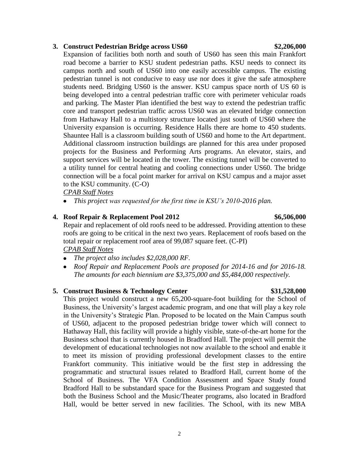### **3. Construct Pedestrian Bridge across US60 \$2,206,000**

Expansion of facilities both north and south of US60 has seen this main Frankfort road become a barrier to KSU student pedestrian paths. KSU needs to connect its campus north and south of US60 into one easily accessible campus. The existing pedestrian tunnel is not conducive to easy use nor does it give the safe atmosphere students need. Bridging US60 is the answer. KSU campus space north of US 60 is being developed into a central pedestrian traffic core with perimeter vehicular roads and parking. The Master Plan identified the best way to extend the pedestrian traffic core and transport pedestrian traffic across US60 was an elevated bridge connection from Hathaway Hall to a multistory structure located just south of US60 where the University expansion is occurring. Residence Halls there are home to 450 students. Shauntee Hall is a classroom building south of US60 and home to the Art department. Additional classroom instruction buildings are planned for this area under proposed projects for the Business and Performing Arts programs. An elevator, stairs, and support services will be located in the tower. The existing tunnel will be converted to a utility tunnel for central heating and cooling connections under US60. The bridge connection will be a focal point marker for arrival on KSU campus and a major asset to the KSU community. (C-O)

*CPAB Staff Notes*

*This project was requested for the first time in KSU's 2010-2016 plan.* 

# **4. Roof Repair & Replacement Pool 2012 \$6,506,000**

Repair and replacement of old roofs need to be addressed. Providing attention to these roofs are going to be critical in the next two years. Replacement of roofs based on the total repair or replacement roof area of 99,087 square feet. (C-PI)

*CPAB Staff Notes*

- *The project also includes \$2,028,000 RF.*
- *Roof Repair and Replacement Pools are proposed for 2014-16 and for 2016-18. The amounts for each biennium are \$3,375,000 and \$5,484,000 respectively.*

# **5. Construct Business & Technology Center \$31,528,000**

This project would construct a new 65,200-square-foot building for the School of Business, the University's largest academic program, and one that will play a key role in the University's Strategic Plan. Proposed to be located on the Main Campus south of US60, adjacent to the proposed pedestrian bridge tower which will connect to Hathaway Hall, this facility will provide a highly visible, state-of-the-art home for the Business school that is currently housed in Bradford Hall. The project will permit the development of educational technologies not now available to the school and enable it to meet its mission of providing professional development classes to the entire Frankfort community. This initiative would be the first step in addressing the programmatic and structural issues related to Bradford Hall, current home of the School of Business. The VFA Condition Assessment and Space Study found Bradford Hall to be substandard space for the Business Program and suggested that both the Business School and the Music/Theater programs, also located in Bradford Hall, would be better served in new facilities. The School, with its new MBA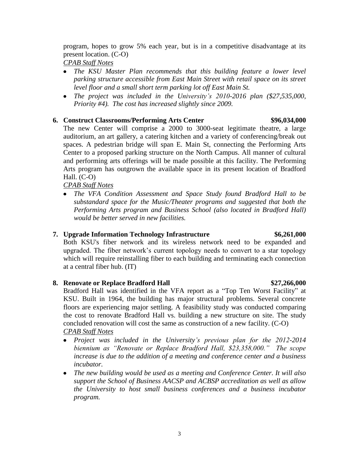program, hopes to grow 5% each year, but is in a competitive disadvantage at its present location. (C-O)

*CPAB Staff Notes*

- The KSU Master Plan recommends that this building feature a lower level *parking structure accessible from East Main Street with retail space on its street level floor and a small short term parking lot off East Main St.*
- *The project was included in the University's 2010-2016 plan (\$27,535,000, Priority #4). The cost has increased slightly since 2009.*

# **6. Construct Classrooms/Performing Arts Center \$96,034,000**

The new Center will comprise a 2000 to 3000-seat legitimate theatre, a large auditorium, an art gallery, a catering kitchen and a variety of conferencing/break out spaces. A pedestrian bridge will span E. Main St, connecting the Performing Arts Center to a proposed parking structure on the North Campus. All manner of cultural and performing arts offerings will be made possible at this facility. The Performing Arts program has outgrown the available space in its present location of Bradford Hall. (C-O)

### *CPAB Staff Notes*

• The VFA Condition Assessment and Space Study found Bradford Hall to be *substandard space for the Music/Theater programs and suggested that both the Performing Arts program and Business School (also located in Bradford Hall) would be better served in new facilities.* 

# **7. Upgrade Information Technology Infrastructure \$6,261,000**

Both KSU's fiber network and its wireless network need to be expanded and upgraded. The fiber network's current topology needs to convert to a star topology which will require reinstalling fiber to each building and terminating each connection at a central fiber hub. (IT)

# **8. Renovate or Replace Bradford Hall \$27,266,000**

Bradford Hall was identified in the VFA report as a "Top Ten Worst Facility" at KSU. Built in 1964, the building has major structural problems. Several concrete floors are experiencing major settling. A feasibility study was conducted comparing the cost to renovate Bradford Hall vs. building a new structure on site. The study concluded renovation will cost the same as construction of a new facility. (C-O) *CPAB Staff Notes*

- *Project was included in the University's previous plan for the 2012-2014 biennium as "Renovate or Replace Bradford Hall, \$23,358,000." The scope increase is due to the addition of a meeting and conference center and a business incubator.*
- *The new building would be used as a meeting and Conference Center. It will also support the School of Business AACSP and ACBSP accreditation as well as allow the University to host small business conferences and a business incubator program.*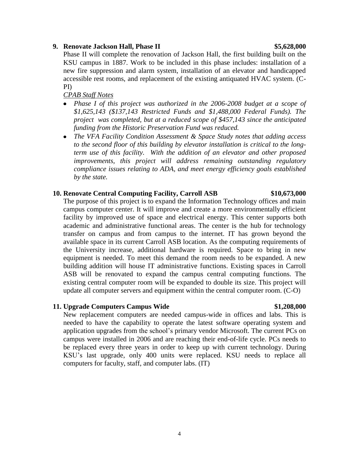the University increase, additional hardware is required. Space to bring in new equipment is needed. To meet this demand the room needs to be expanded. A new building addition will house IT administrative functions. Existing spaces in Carroll ASB will be renovated to expand the campus central computing functions. The existing central computer room will be expanded to double its size. This project will update all computer servers and equipment within the central computer room. (C-O)

PI)

*CPAB Staff Notes*

New replacement computers are needed campus-wide in offices and labs. This is needed to have the capability to operate the latest software operating system and application upgrades from the school's primary vendor Microsoft. The current PCs on campus were installed in 2006 and are reaching their end-of-life cycle. PCs needs to be replaced every three years in order to keep up with current technology. During KSU's last upgrade, only 400 units were replaced. KSU needs to replace all computers for faculty, staff, and computer labs. (IT)

*Phase I of this project was authorized in the 2006-2008 budget at a scope of \$1,625,143 (\$137,143 Restricted Funds and \$1,488,000 Federal Funds). The project was completed, but at a reduced scope of \$457,143 since the anticipated funding from the Historic Preservation Fund was reduced.*

Phase II will complete the renovation of Jackson Hall, the first building built on the KSU campus in 1887. Work to be included in this phase includes: installation of a new fire suppression and alarm system, installation of an elevator and handicapped accessible rest rooms, and replacement of the existing antiquated HVAC system. (C-

*The VFA Facility Condition Assessment & Space Study notes that adding access*   $\bullet$ *to the second floor of this building by elevator installation is critical to the longterm use of this facility. With the addition of an elevator and other proposed improvements, this project will address remaining outstanding regulatory compliance issues relating to ADA, and meet energy efficiency goals established by the state.* 

The purpose of this project is to expand the Information Technology offices and main campus computer center. It will improve and create a more environmentally efficient facility by improved use of space and electrical energy. This center supports both academic and administrative functional areas. The center is the hub for technology transfer on campus and from campus to the internet. IT has grown beyond the available space in its current Carroll ASB location. As the computing requirements of

### **10. Renovate Central Computing Facility, Carroll ASB \$10,673,000**

# **11. Upgrade Computers Campus Wide \$1,208,000**

4

### **9. Renovate Jackson Hall, Phase II \$5,628,000**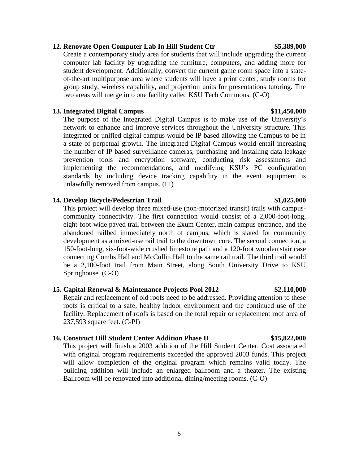### **12. Renovate Open Computer Lab In Hill Student Ctr \$5,389,000**

Create a contemporary study area for students that will include upgrading the current computer lab facility by upgrading the furniture, computers, and adding more for student development. Additionally, convert the current game room space into a stateof-the-art multipurpose area where students will have a print center, study rooms for group study, wireless capability, and projection units for presentations tutoring. The two areas will merge into one facility called KSU Tech Commons. (C-O)

### **13. Integrated Digital Campus \$11,450,000**

The purpose of the Integrated Digital Campus is to make use of the University's network to enhance and improve services throughout the University structure. This integrated or unified digital campus would be IP based allowing the Campus to be in a state of perpetual growth. The Integrated Digital Campus would entail increasing the number of IP based surveillance cameras, purchasing and installing data leakage prevention tools and encryption software, conducting risk assessments and implementing the recommendations, and modifying KSU's PC configuration standards by including device tracking capability in the event equipment is unlawfully removed from campus. (IT)

### **14. Develop Bicycle/Pedestrian Trail \$1,025,000**

This project will develop three mixed-use (non-motorized transit) trails with campuscommunity connectivity. The first connection would consist of a 2,000-foot-long, eight-foot-wide paved trail between the Exum Center, main campus entrance, and the abandoned railbed immediately north of campus, which is slated for community development as a mixed-use rail trail to the downtown core. The second connection, a 150-foot-long, six-foot-wide crushed limestone path and a 120-foot wooden stair case connecting Combs Hall and McCullin Hall to the same rail trail. The third trail would be a 2,100-foot trail from Main Street, along South University Drive to KSU Springhouse. (C-O)

# **15. Capital Renewal & Maintenance Projects Pool 2012 \$2,110,000**

Repair and replacement of old roofs need to be addressed. Providing attention to these roofs is critical to a safe, healthy indoor environment and the continued use of the facility. Replacement of roofs is based on the total repair or replacement roof area of 237,593 square feet. (C-PI)

# **16. Construct Hill Student Center Addition Phase II \$15,822,000**

This project will finish a 2003 addition of the Hill Student Center. Cost associated with original program requirements exceeded the approved 2003 funds. This project will allow completion of the original program which remains valid today. The building addition will include an enlarged ballroom and a theater. The existing Ballroom will be renovated into additional dining/meeting rooms. (C-O)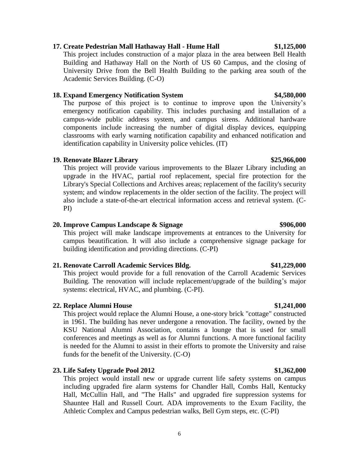# **17. Create Pedestrian Mall Hathaway Hall - Hume Hall \$1,125,000**

This project includes construction of a major plaza in the area between Bell Health Building and Hathaway Hall on the North of US 60 Campus, and the closing of University Drive from the Bell Health Building to the parking area south of the Academic Services Building. (C-O)

### **18. Expand Emergency Notification System \$4,580,000**

The purpose of this project is to continue to improve upon the University's emergency notification capability. This includes purchasing and installation of a campus-wide public address system, and campus sirens. Additional hardware components include increasing the number of digital display devices, equipping classrooms with early warning notification capability and enhanced notification and identification capability in University police vehicles. (IT)

# **19. Renovate Blazer Library \$25,966,000**

This project will provide various improvements to the Blazer Library including an upgrade in the HVAC, partial roof replacement, special fire protection for the Library's Special Collections and Archives areas; replacement of the facility's security system; and window replacements in the older section of the facility. The project will also include a state-of-the-art electrical information access and retrieval system. (C-PI)

# **20. Improve Campus Landscape & Signage \$906,000**

This project will make landscape improvements at entrances to the University for campus beautification. It will also include a comprehensive signage package for building identification and providing directions. (C-PI)

# **21. Renovate Carroll Academic Services Bldg. \$41,229,000**

This project would provide for a full renovation of the Carroll Academic Services Building. The renovation will include replacement/upgrade of the building's major systems: electrical, HVAC, and plumbing. (C-PI).

# **22. Replace Alumni House \$1,241,000**

This project would replace the Alumni House, a one-story brick "cottage" constructed in 1961. The building has never undergone a renovation. The facility, owned by the KSU National Alumni Association, contains a lounge that is used for small conferences and meetings as well as for Alumni functions. A more functional facility is needed for the Alumni to assist in their efforts to promote the University and raise funds for the benefit of the University. (C-O)

# **23. Life Safety Upgrade Pool 2012 \$1,362,000**

This project would install new or upgrade current life safety systems on campus including upgraded fire alarm systems for Chandler Hall, Combs Hall, Kentucky Hall, McCullin Hall, and "The Halls" and upgraded fire suppression systems for Shauntee Hall and Russell Court. ADA improvements to the Exum Facility, the Athletic Complex and Campus pedestrian walks, Bell Gym steps, etc. (C-PI)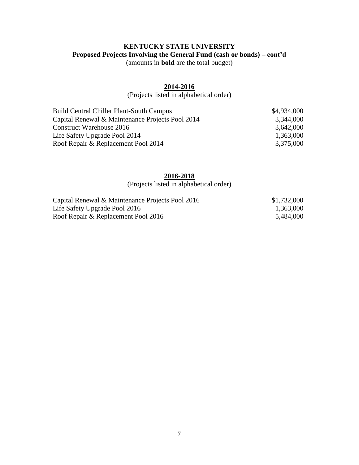# **KENTUCKY STATE UNIVERSITY Proposed Projects Involving the General Fund (cash or bonds) – cont'd** (amounts in **bold** are the total budget)

# **2014-2016**

(Projects listed in alphabetical order)

| <b>Build Central Chiller Plant-South Campus</b>  | \$4,934,000 |
|--------------------------------------------------|-------------|
| Capital Renewal & Maintenance Projects Pool 2014 | 3,344,000   |
| Construct Warehouse 2016                         | 3,642,000   |
| Life Safety Upgrade Pool 2014                    | 1,363,000   |
| Roof Repair & Replacement Pool 2014              | 3,375,000   |

### **2016-2018**

(Projects listed in alphabetical order)

| Capital Renewal & Maintenance Projects Pool 2016 | \$1,732,000 |
|--------------------------------------------------|-------------|
| Life Safety Upgrade Pool 2016                    | 1,363,000   |
| Roof Repair & Replacement Pool 2016              | 5,484,000   |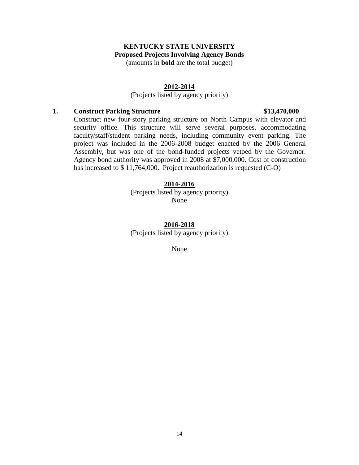### **KENTUCKY STATE UNIVERSITY Proposed Projects Involving Agency Bonds** (amounts in **bold** are the total budget)

### **2012-2014**

# (Projects listed by agency priority)

### **1. Construct Parking Structure \$13,470,000**

Construct new four-story parking structure on North Campus with elevator and security office. This structure will serve several purposes, accommodating faculty/staff/student parking needs, including community event parking. The project was included in the 2006-2008 budget enacted by the 2006 General Assembly, but was one of the bond-funded projects vetoed by the Governor. Agency bond authority was approved in 2008 at \$7,000,000. Cost of construction has increased to \$ 11,764,000. Project reauthorization is requested (C-O)

### **2014-2016**

(Projects listed by agency priority) None

# **2016-2018**

(Projects listed by agency priority)

None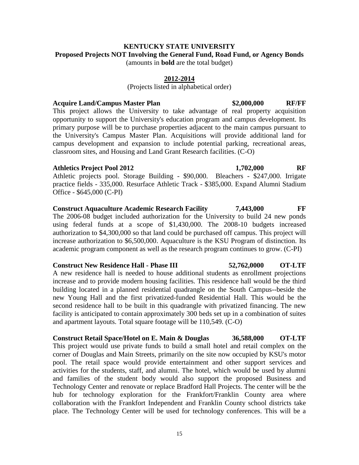### **KENTUCKY STATE UNIVERSITY Proposed Projects NOT Involving the General Fund, Road Fund, or Agency Bonds** (amounts in **bold** are the total budget)

### **2012-2014**

(Projects listed in alphabetical order)

### **Acquire Land/Campus Master Plan \$2,000,000 RF/FF**

This project allows the University to take advantage of real property acquisition opportunity to support the University's education program and campus development. Its primary purpose will be to purchase properties adjacent to the main campus pursuant to the University's Campus Master Plan. Acquisitions will provide additional land for campus development and expansion to include potential parking, recreational areas, classroom sites, and Housing and Land Grant Research facilities. (C-O)

### **Athletics Project Pool 2012 1,702,000 RF**

Athletic projects pool. Storage Building - \$90,000. Bleachers - \$247,000. Irrigate practice fields - 335,000. Resurface Athletic Track - \$385,000. Expand Alumni Stadium Office - \$645,000 (C-PI)

**Construct Aquaculture Academic Research Facility 7,443,000 FF** The 2006-08 budget included authorization for the University to build 24 new ponds using federal funds at a scope of \$1,430,000. The 2008-10 budgets increased authorization to \$4,300,000 so that land could be purchased off campus. This project will increase authorization to \$6,500,000. Aquaculture is the KSU Program of distinction. Its academic program component as well as the research program continues to grow. (C-PI)

### **Construct New Residence Hall - Phase III 52,762,0000 OT-LTF**

A new residence hall is needed to house additional students as enrollment projections increase and to provide modern housing facilities. This residence hall would be the third building located in a planned residential quadrangle on the South Campus--beside the new Young Hall and the first privatized-funded Residential Hall. This would be the second residence hall to be built in this quadrangle with privatized financing. The new facility is anticipated to contain approximately 300 beds set up in a combination of suites and apartment layouts. Total square footage will be 110,549. (C-O)

**Construct Retail Space/Hotel on E. Main & Douglas 36,588,000 OT-LTF** This project would use private funds to build a small hotel and retail complex on the corner of Douglas and Main Streets, primarily on the site now occupied by KSU's motor pool. The retail space would provide entertainment and other support services and activities for the students, staff, and alumni. The hotel, which would be used by alumni and families of the student body would also support the proposed Business and Technology Center and renovate or replace Bradford Hall Projects. The center will be the hub for technology exploration for the Frankfort/Franklin County area where collaboration with the Frankfort Independent and Franklin County school districts take place. The Technology Center will be used for technology conferences. This will be a